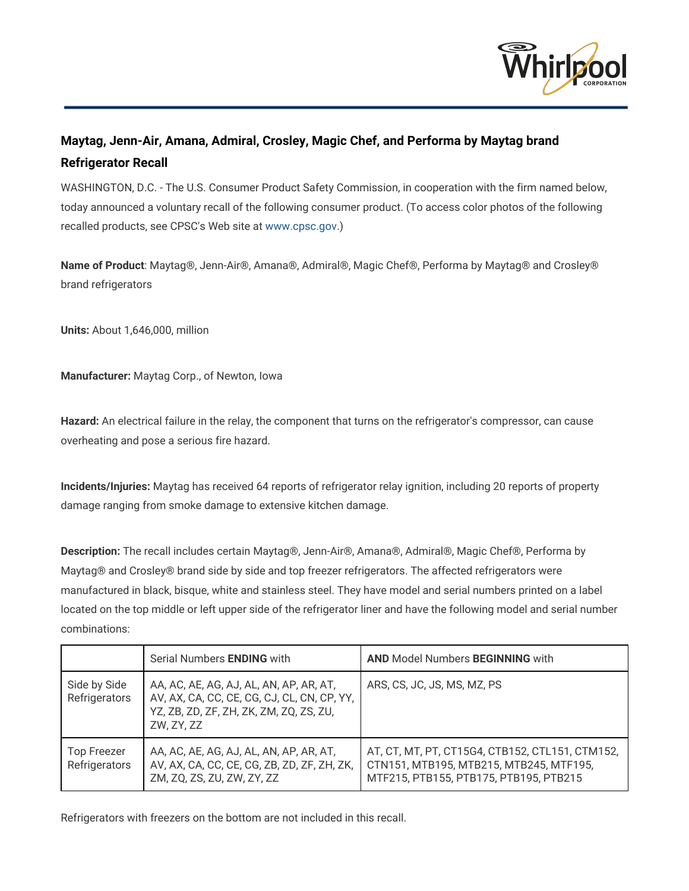

# **Maytag, Jenn-Air, Amana, Admiral, Crosley, Magic Chef, and Performa by Maytag brand Refrigerator Recall**

WASHINGTON, D.C. - The U.S. Consumer Product Safety Commission, in cooperation with the firm named below, today announced a voluntary recall of the following consumer product. (To access color photos of the following recalled products, see CPSC's Web site at [www.cpsc.gov.](http://www.cpsc.gov/))

**Name of Product**: Maytag®, Jenn-Air®, Amana®, Admiral®, Magic Chef®, Performa by Maytag® and Crosley® brand refrigerators

**Units:**About 1,646,000, million

**Manufacturer:**Maytag Corp., of Newton, Iowa

**Hazard:** An electrical failure in the relay, the component that turns on the refrigerator's compressor, can cause overheating and pose a serious fire hazard.

**Incidents/Injuries:**Maytag has received 64 reports of refrigerator relay ignition, including 20 reports of property damage ranging from smoke damage to extensive kitchen damage.

**Description:** The recall includes certain Maytag®, Jenn-Air®, Amana®, Admiral®, Magic Chef®, Performa by Maytag® and Crosley® brand side by side and top freezer refrigerators. The affected refrigerators were manufactured in black, bisque, white and stainless steel. They have model and serial numbers printed on a label located on the top middle or left upper side of the refrigerator liner and have the following model and serial number combinations:

|                                     | Serial Numbers ENDING with                                                                                                                      | <b>AND Model Numbers BEGINNING with</b>                                                                                              |
|-------------------------------------|-------------------------------------------------------------------------------------------------------------------------------------------------|--------------------------------------------------------------------------------------------------------------------------------------|
| Side by Side<br>Refrigerators       | AA, AC, AE, AG, AJ, AL, AN, AP, AR, AT,<br>AV, AX, CA, CC, CE, CG, CJ, CL, CN, CP, YY,<br>YZ, ZB, ZD, ZF, ZH, ZK, ZM, ZQ, ZS, ZU,<br>ZW, ZY, ZZ | ARS, CS, JC, JS, MS, MZ, PS                                                                                                          |
| <b>Top Freezer</b><br>Refrigerators | AA, AC, AE, AG, AJ, AL, AN, AP, AR, AT,<br>AV, AX, CA, CC, CE, CG, ZB, ZD, ZF, ZH, ZK,<br>ZM, ZQ, ZS, ZU, ZW, ZY, ZZ                            | AT, CT, MT, PT, CT15G4, CTB152, CTL151, CTM152,<br>CTN151, MTB195, MTB215, MTB245, MTF195,<br>MTF215, PTB155, PTB175, PTB195, PTB215 |

Refrigerators with freezers on the bottom are not included in this recall.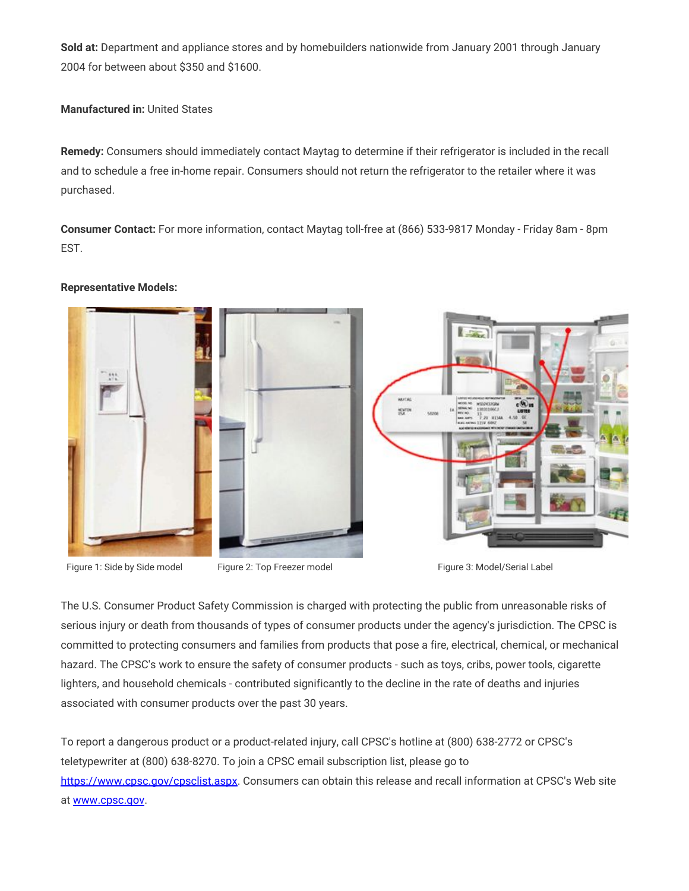**Sold at:** Department and appliance stores and by homebuilders nationwide from January 2001 through January 2004 for between about \$350 and \$1600.

**Manufactured in:**United States

**Remedy:**Consumers should immediately contact Maytag to determine if their refrigerator is included in the recall and to schedule a free in-home repair. Consumers should not return the refrigerator to the retailer where it was purchased.

**Consumer Contact:**For more information, contact Maytag toll-free at (866) 533-9817 Monday - Friday 8am - 8pm EST.



#### **Representative Models:**

Figure 1: Side by Side model Figure 2: Top Freezer model Figure 3: Model/Serial Label

The U.S. Consumer Product Safety Commission is charged with protecting the public from unreasonable risks of serious injury or death from thousands of types of consumer products under the agency's jurisdiction. The CPSC is committed to protecting consumers and families from products that pose a fire, electrical, chemical, or mechanical hazard. The CPSC's work to ensure the safety of consumer products - such as toys, cribs, power tools, cigarette lighters, and household chemicals - contributed significantly to the decline in the rate of deaths and injuries associated with consumer products over the past 30 years.

To report a dangerous product or a product-related injury, call CPSC's hotline at (800) 638-2772 or CPSC's teletypewriter at (800) 638-8270. To join a CPSC email subscription list, please go to [https://www.cpsc.gov/cpsclist.aspx.](https://www.cpsc.gov/cpsclist.aspx) Consumers can obtain this release and recall information at CPSC's Web site at [www.cpsc.gov.](http://www.cpsc.gov/)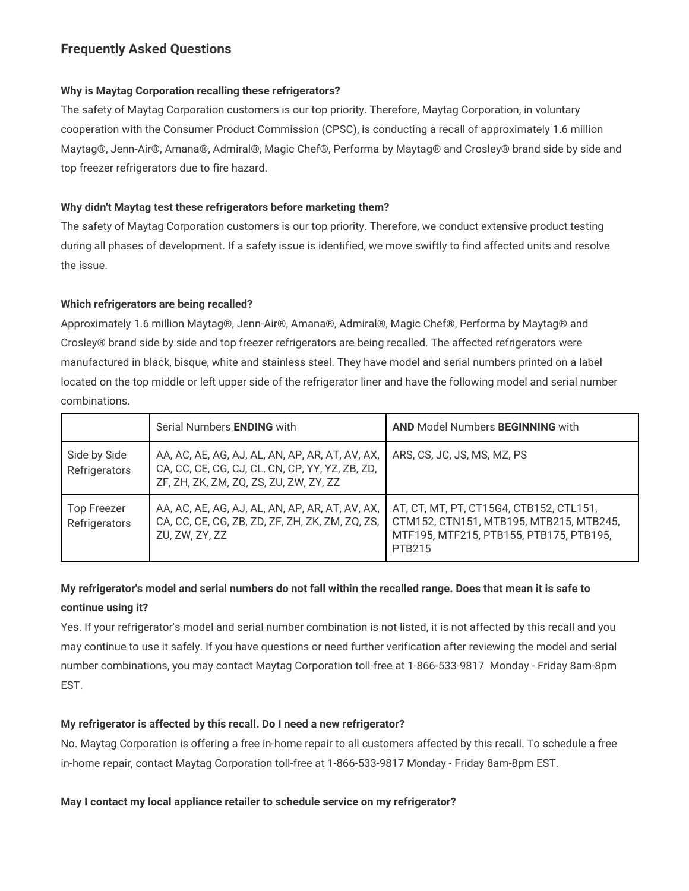# **Frequently Asked Questions**

### **Why is Maytag Corporation recalling these refrigerators?**

The safety of Maytag Corporation customers is our top priority. Therefore, Maytag Corporation, in voluntary cooperation with the Consumer Product Commission (CPSC), is conducting a recall of approximately 1.6 million Maytag®, Jenn-Air®, Amana®, Admiral®, Magic Chef®, Performa by Maytag® and Crosley® brand side by side and top freezer refrigerators due to fire hazard.

### **Why didn't Maytag test these refrigerators before marketing them?**

The safety of Maytag Corporation customers is our top priority. Therefore, we conduct extensive product testing during all phases of development. If a safety issue is identified, we move swiftly to find affected units and resolve the issue.

### **Which refrigerators are being recalled?**

Approximately 1.6 million Maytag®, Jenn-Air®, Amana®, Admiral®, Magic Chef®, Performa by Maytag® and Crosley® brand side by side and top freezer refrigerators are being recalled. The affected refrigerators were manufactured in black, bisque, white and stainless steel. They have model and serial numbers printed on a label located on the top middle or left upper side of the refrigerator liner and have the following model and serial number combinations.

|                                     | Serial Numbers ENDING with                                                                                                                   | <b>AND Model Numbers BEGINNING with</b>                                                                                                        |
|-------------------------------------|----------------------------------------------------------------------------------------------------------------------------------------------|------------------------------------------------------------------------------------------------------------------------------------------------|
| Side by Side<br>Refrigerators       | AA, AC, AE, AG, AJ, AL, AN, AP, AR, AT, AV, AX,<br>CA, CC, CE, CG, CJ, CL, CN, CP, YY, YZ, ZB, ZD,<br>ZF, ZH, ZK, ZM, ZQ, ZS, ZU, ZW, ZY, ZZ | ARS, CS, JC, JS, MS, MZ, PS                                                                                                                    |
| <b>Top Freezer</b><br>Refrigerators | AA, AC, AE, AG, AJ, AL, AN, AP, AR, AT, AV, AX,<br>CA, CC, CE, CG, ZB, ZD, ZF, ZH, ZK, ZM, ZQ, ZS,<br>ZU, ZW, ZY, ZZ                         | AT, CT, MT, PT, CT15G4, CTB152, CTL151,<br>CTM152, CTN151, MTB195, MTB215, MTB245,<br>MTF195, MTF215, PTB155, PTB175, PTB195,<br><b>PTB215</b> |

## My refrigerator's model and serial numbers do not fall within the recalled range. Does that mean it is safe to **continue using it?**

Yes. If your refrigerator's model and serial number combination is not listed, it is not affected by this recall and you may continue to use it safely. If you have questions or need further verification after reviewing the model and serial number combinations, you may contact Maytag Corporation toll-free at 1-866-533-9817 Monday - Friday 8am-8pm EST.

### **My refrigerator is affected by this recall. Do I need a new refrigerator?**

No. Maytag Corporation is offering a free in-home repair to all customers affected by this recall. To schedule a free in-home repair, contact Maytag Corporation toll-free at 1-866-533-9817 Monday - Friday 8am-8pm EST.

**May I contact my local appliance retailer to schedule service on my refrigerator?**